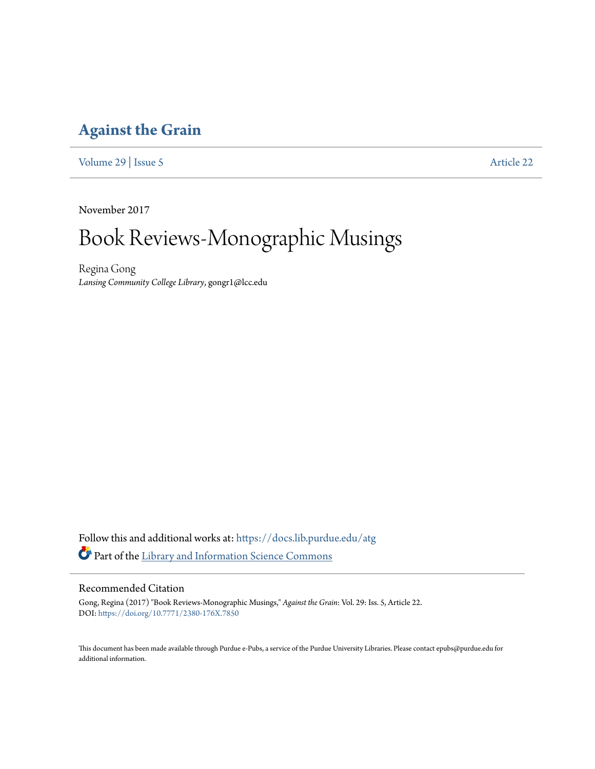### **[Against the Grain](https://docs.lib.purdue.edu/atg?utm_source=docs.lib.purdue.edu%2Fatg%2Fvol29%2Fiss5%2F22&utm_medium=PDF&utm_campaign=PDFCoverPages)**

[Volume 29](https://docs.lib.purdue.edu/atg/vol29?utm_source=docs.lib.purdue.edu%2Fatg%2Fvol29%2Fiss5%2F22&utm_medium=PDF&utm_campaign=PDFCoverPages) | [Issue 5](https://docs.lib.purdue.edu/atg/vol29/iss5?utm_source=docs.lib.purdue.edu%2Fatg%2Fvol29%2Fiss5%2F22&utm_medium=PDF&utm_campaign=PDFCoverPages) [Article 22](https://docs.lib.purdue.edu/atg/vol29/iss5/22?utm_source=docs.lib.purdue.edu%2Fatg%2Fvol29%2Fiss5%2F22&utm_medium=PDF&utm_campaign=PDFCoverPages)

November 2017

# Book Reviews-Monographic Musings

Regina Gong *Lansing Community College Library*, gongr1@lcc.edu

Follow this and additional works at: [https://docs.lib.purdue.edu/atg](https://docs.lib.purdue.edu/atg?utm_source=docs.lib.purdue.edu%2Fatg%2Fvol29%2Fiss5%2F22&utm_medium=PDF&utm_campaign=PDFCoverPages) Part of the [Library and Information Science Commons](http://network.bepress.com/hgg/discipline/1018?utm_source=docs.lib.purdue.edu%2Fatg%2Fvol29%2Fiss5%2F22&utm_medium=PDF&utm_campaign=PDFCoverPages)

### Recommended Citation

Gong, Regina (2017) "Book Reviews-Monographic Musings," *Against the Grain*: Vol. 29: Iss. 5, Article 22. DOI: <https://doi.org/10.7771/2380-176X.7850>

This document has been made available through Purdue e-Pubs, a service of the Purdue University Libraries. Please contact epubs@purdue.edu for additional information.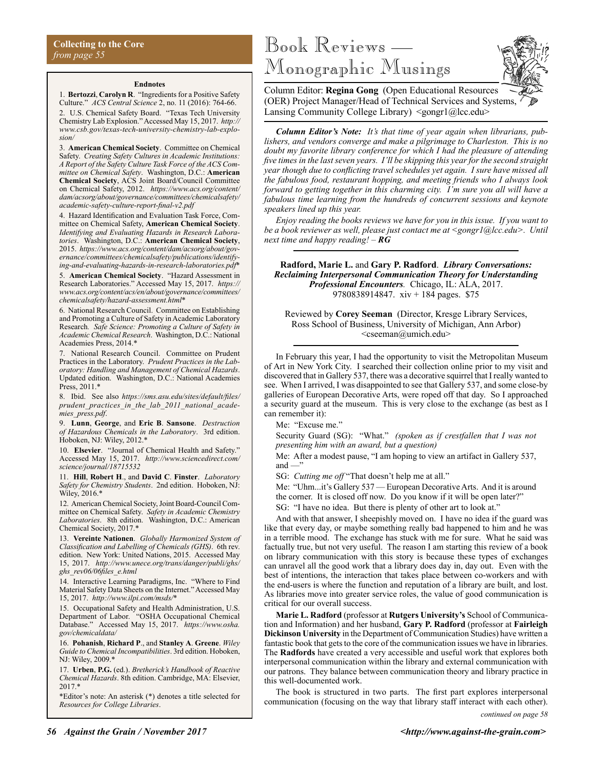#### **Endnotes**

1. **Bertozzi**, **Carolyn R**. "Ingredients for a Positive Safety Culture." *ACS Central Science* 2, no. 11 (2016): 764-66. 2. U.S. Chemical Safety Board. "Texas Tech University Chemistry Lab Explosion." Accessed May 15, 2017. *http:// www.csb.gov/texas-tech-university-chemistry-lab-explosion/*

3. **American Chemical Society**. Committee on Chemical Safety. *Creating Safety Cultures in Academic Institutions: A Report of the Safety Culture Task Force of the ACS Committee on Chemical Safety*. Washington, D.C.: **American Chemical Society**, ACS Joint Board/Council Committee on Chemical Safety, 2012. *https://www.acs.org/content/ dam/acsorg/about/governance/committees/chemicalsafety/ academic-safety-culture-report-final-v2.pdf*

4. Hazard Identification and Evaluation Task Force, Committee on Chemical Safety, **American Chemical Society**. *Identifying and Evaluating Hazards in Research Laboratories*. Washington, D.C.: **American Chemical Society**, 2015. *https://www.acs.org/content/dam/acsorg/about/governance/committees/chemicalsafety/publications/identifying-and-evaluating-hazards-in-research-laboratories.pdf*\*

5. **American Chemical Society**. "Hazard Assessment in Research Laboratories." Accessed May 15, 2017. *https:// www.acs.org/content/acs/en/about/governance/committees/ chemicalsafety/hazard-assessment.html*\*

6. National Research Council. Committee on Establishing and Promoting a Culture of Safety in Academic Laboratory Research*. Safe Science: Promoting a Culture of Safety in Academic Chemical Research*. Washington, D.C.: National Academies Press, 2014.\*

7. National Research Council. Committee on Prudent Practices in the Laboratory. *Prudent Practices in the Laboratory: Handling and Management of Chemical Hazards*. Updated edition. Washington, D.C.: National Academies Press, 2011.\*

8. Ibid. See also *https://sms.asu.edu/sites/default/files/ prudent\_practices\_in\_the\_lab\_2011\_national\_academies\_press.pdf*.

9. **Lunn**, **George**, and **Eric B**. **Sansone**. *Destruction of Hazardous Chemicals in the Laboratory*. 3rd edition. Hoboken, NJ: Wiley, 2012.\*

10. **Elsevier**. "Journal of Chemical Health and Safety." Accessed May 15, 2017. *http://www.sciencedirect.com/ science/journal/18715532*

11. **Hill**, **Robert H**., and **David C**. **Finster**. *Laboratory Safety for Chemistry Students*. 2nd edition. Hoboken, NJ: Wiley, 2016.\*

12. American Chemical Society, Joint Board-Council Committee on Chemical Safety. *Safety in Academic Chemistry Laboratories*. 8th edition. Washington, D.C.: American Chemical Society, 2017.\*

13. **Vereinte Nationen**. *Globally Harmonized System of Classification and Labelling of Chemicals (GHS)*. 6th rev. edition. New York: United Nations, 2015. Accessed May 15, 2017. *http://www.unece.org/trans/danger/publi/ghs/ ghs\_rev06/06files\_e.html*

14. Interactive Learning Paradigms, Inc. "Where to Find Material Safety Data Sheets on the Internet." Accessed May 15, 2017. *http://www.ilpi.com/msds/*\*

15. Occupational Safety and Health Administration, U.S. Department of Labor. "OSHA Occupational Chemical Database." Accessed May 15, 2017. *https://www.osha. gov/chemicaldata/*

16. **Pohanish**, **Richard P**., and **Stanley A**. **Greene**. *Wiley Guide to Chemical Incompatibilities*. 3rd edition. Hoboken, NJ: Wiley, 2009.\*

17. **Urben**, **P.G.** (ed.). *Bretherick's Handbook of Reactive Chemical Hazards*. 8th edition. Cambridge, MA: Elsevier, 2017.\*

\*Editor's note: An asterisk (\*) denotes a title selected for *Resources for College Libraries*.

## Book Reviews — Monographic Musings



Column Editor: **Regina Gong** (Open Educational Resources (OER) Project Manager/Head of Technical Services and Systems, Lansing Community College Library) <gongr1@lcc.edu>

*Column Editor's Note: It's that time of year again when librarians, publishers, and vendors converge and make a pilgrimage to Charleston. This is no doubt my favorite library conference for which I had the pleasure of attending five times in the last seven years. I'll be skipping this year for the second straight year though due to conflicting travel schedules yet again. I sure have missed all the fabulous food, restaurant hopping, and meeting friends who I always look forward to getting together in this charming city. I'm sure you all will have a fabulous time learning from the hundreds of concurrent sessions and keynote speakers lined up this year.* 

*Enjoy reading the books reviews we have for you in this issue. If you want to be a book reviewer as well, please just contact me at <gongr1@lcc.edu>. Until next time and happy reading! – RG*

**Radford, Marie L.** and **Gary P. Radford**. *Library Conversations: Reclaiming Interpersonal Communication Theory for Understanding Professional Encounters.* Chicago, IL: ALA, 2017. 9780838914847. xiv + 184 pages. \$75

Reviewed by **Corey Seeman** (Director, Kresge Library Services, Ross School of Business, University of Michigan, Ann Arbor)  $\leq$ cseeman@umich.edu>

In February this year, I had the opportunity to visit the Metropolitan Museum of Art in New York City. I searched their collection online prior to my visit and discovered that in Gallery 537, there was a decorative squirrel that I really wanted to see. When I arrived, I was disappointed to see that Gallery 537, and some close-by galleries of European Decorative Arts, were roped off that day. So I approached a security guard at the museum. This is very close to the exchange (as best as I can remember it):

Me: "Excuse me."

Security Guard (SG): "What." *(spoken as if crestfallen that I was not presenting him with an award, but a question)*

Me: After a modest pause, "I am hoping to view an artifact in Gallery 537, and  $-\ddot{}$ "

SG: *Cutting me off* "That doesn't help me at all."

Me: "Uhm...it's Gallery 537 — European Decorative Arts. And it is around the corner. It is closed off now. Do you know if it will be open later?"

SG: "I have no idea. But there is plenty of other art to look at."

And with that answer, I sheepishly moved on. I have no idea if the guard was like that every day, or maybe something really bad happened to him and he was in a terrible mood. The exchange has stuck with me for sure. What he said was factually true, but not very useful. The reason I am starting this review of a book on library communication with this story is because these types of exchanges can unravel all the good work that a library does day in, day out. Even with the best of intentions, the interaction that takes place between co-workers and with the end-users is where the function and reputation of a library are built, and lost. As libraries move into greater service roles, the value of good communication is critical for our overall success.

**Marie L. Radford** (professor at **Rutgers University's** School of Communication and Information) and her husband, **Gary P. Radford** (professor at **Fairleigh Dickinson University** in the Department of Communication Studies) have written a fantastic book that gets to the core of the communication issues we have in libraries. The **Radfords** have created a very accessible and useful work that explores both interpersonal communication within the library and external communication with our patrons. They balance between communication theory and library practice in this well-documented work.

The book is structured in two parts. The first part explores interpersonal communication (focusing on the way that library staff interact with each other).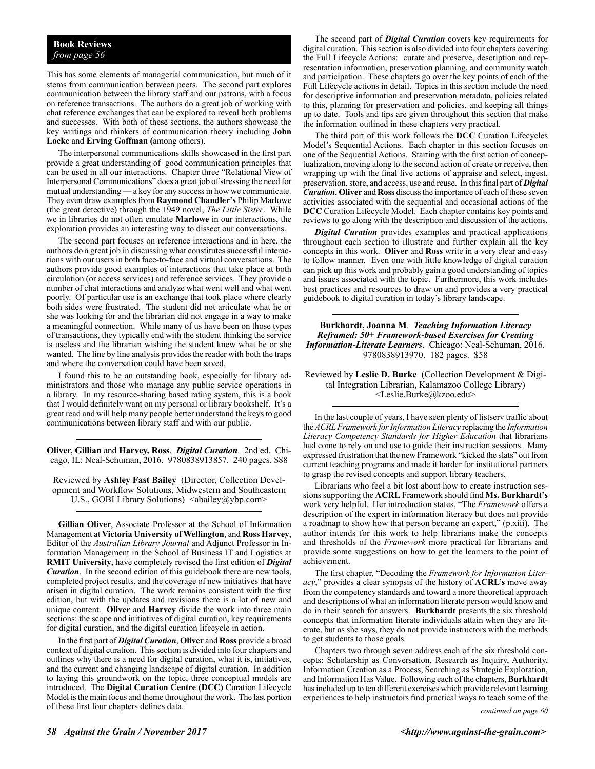### **Book Reviews** *from page 56*

This has some elements of managerial communication, but much of it stems from communication between peers. The second part explores communication between the library staff and our patrons, with a focus on reference transactions. The authors do a great job of working with chat reference exchanges that can be explored to reveal both problems and successes. With both of these sections, the authors showcase the key writings and thinkers of communication theory including **John Locke** and **Erving Goffman (**among others).

The interpersonal communications skills showcased in the first part provide a great understanding of good communication principles that can be used in all our interactions. Chapter three "Relational View of Interpersonal Communications" does a great job of stressing the need for mutual understanding — a key for any success in how we communicate. They even draw examples from **Raymond Chandler's** Philip Marlowe (the great detective) through the 1949 novel, *The Little Sister*. While we in libraries do not often emulate **Marlowe** in our interactions, the exploration provides an interesting way to dissect our conversations.

The second part focuses on reference interactions and in here, the authors do a great job in discussing what constitutes successful interactions with our users in both face-to-face and virtual conversations. The authors provide good examples of interactions that take place at both circulation (or access services) and reference services. They provide a number of chat interactions and analyze what went well and what went poorly. Of particular use is an exchange that took place where clearly both sides were frustrated. The student did not articulate what he or she was looking for and the librarian did not engage in a way to make a meaningful connection. While many of us have been on those types of transactions, they typically end with the student thinking the service is useless and the librarian wishing the student knew what he or she wanted. The line by line analysis provides the reader with both the traps and where the conversation could have been saved.

I found this to be an outstanding book, especially for library administrators and those who manage any public service operations in a library. In my resource-sharing based rating system, this is a book that I would definitely want on my personal or library bookshelf. It's a great read and will help many people better understand the keys to good communications between library staff and with our public.

**Oliver, Gillian** and **Harvey, Ross**. *Digital Curation*. 2nd ed.Chicago, IL: Neal-Schuman, 2016. 9780838913857. 240 pages. \$88

Reviewed by **Ashley Fast Bailey** (Director, Collection Development and Workflow Solutions, Midwestern and Southeastern U.S., GOBI Library Solutions) <abailey@ybp.com>

**Gillian Oliver**, Associate Professor at the School of Information Management at **Victoria University of Wellington**, and **Ross Harvey**, Editor of the *Australian Library Journal* and Adjunct Professor in Information Management in the School of Business IT and Logistics at **RMIT University**, have completely revised the first edition of *Digital Curation*. In the second edition of this guidebook there are new tools, completed project results, and the coverage of new initiatives that have arisen in digital curation. The work remains consistent with the first edition, but with the updates and revisions there is a lot of new and unique content. **Oliver** and **Harvey** divide the work into three main sections: the scope and initiatives of digital curation, key requirements for digital curation, and the digital curation lifecycle in action.

In the first part of *Digital Curation*, **Oliver** and **Ross** provide a broad context of digital curation. This section is divided into four chapters and outlines why there is a need for digital curation, what it is, initiatives, and the current and changing landscape of digital curation. In addition to laying this groundwork on the topic, three conceptual models are introduced. The **Digital Curation Centre (DCC)** Curation Lifecycle Model is the main focus and theme throughout the work. The last portion of these first four chapters defines data.

The second part of *Digital Curation* covers key requirements for digital curation. This section is also divided into four chapters covering the Full Lifecycle Actions: curate and preserve, description and representation information, preservation planning, and community watch and participation. These chapters go over the key points of each of the Full Lifecycle actions in detail. Topics in this section include the need for descriptive information and preservation metadata, policies related to this, planning for preservation and policies, and keeping all things up to date. Tools and tips are given throughout this section that make the information outlined in these chapters very practical.

The third part of this work follows the **DCC** Curation Lifecycles Model's Sequential Actions. Each chapter in this section focuses on one of the Sequential Actions. Starting with the first action of conceptualization, moving along to the second action of create or receive, then wrapping up with the final five actions of appraise and select, ingest, preservation, store, and access, use and reuse. In this final part of *Digital Curation*, **Oliver** and **Ross** discuss the importance of each of these seven activities associated with the sequential and occasional actions of the **DCC** Curation Lifecycle Model. Each chapter contains key points and reviews to go along with the description and discussion of the actions.

*Digital Curation* provides examples and practical applications throughout each section to illustrate and further explain all the key concepts in this work. **Oliver** and **Ross** write in a very clear and easy to follow manner. Even one with little knowledge of digital curation can pick up this work and probably gain a good understanding of topics and issues associated with the topic. Furthermore, this work includes best practices and resources to draw on and provides a very practical guidebook to digital curation in today's library landscape.

**Burkhardt, Joanna M**. *Teaching Information Literacy Reframed: 50+ Framework-based Exercises for Creating Information-Literate Learners*. Chicago: Neal-Schuman, 2016. 9780838913970. 182 pages. \$58

Reviewed by **Leslie D. Burke** (Collection Development & Digital Integration Librarian, Kalamazoo College Library) <Leslie.Burke@kzoo.edu>

In the last couple of years, I have seen plenty of listserv traffic about the *ACRL Framework for Information Literacy* replacing the *Information Literacy Competency Standards for Higher Education* that librarians had come to rely on and use to guide their instruction sessions. Many expressed frustration that the new Framework "kicked the slats" out from current teaching programs and made it harder for institutional partners to grasp the revised concepts and support library teachers.

Librarians who feel a bit lost about how to create instruction sessions supporting the **ACRL** Framework should find **Ms. Burkhardt's**  work very helpful. Her introduction states, "The *Framework* offers a description of the expert in information literacy but does not provide a roadmap to show how that person became an expert," (p.xiii). The author intends for this work to help librarians make the concepts and thresholds of the *Framework* more practical for librarians and provide some suggestions on how to get the learners to the point of achievement.

The first chapter, "Decoding the *Framework for Information Literacy*," provides a clear synopsis of the history of **ACRL's** move away from the competency standards and toward a more theoretical approach and descriptions of what an information literate person would know and do in their search for answers. **Burkhardt** presents the six threshold concepts that information literate individuals attain when they are literate, but as she says, they do not provide instructors with the methods to get students to those goals.

Chapters two through seven address each of the six threshold concepts: Scholarship as Conversation, Research as Inquiry, Authority, Information Creation as a Process, Searching as Strategic Exploration, and Information Has Value. Following each of the chapters, **Burkhardt** has included up to ten different exercises which provide relevant learning experiences to help instructors find practical ways to teach some of the

*continued on page 60*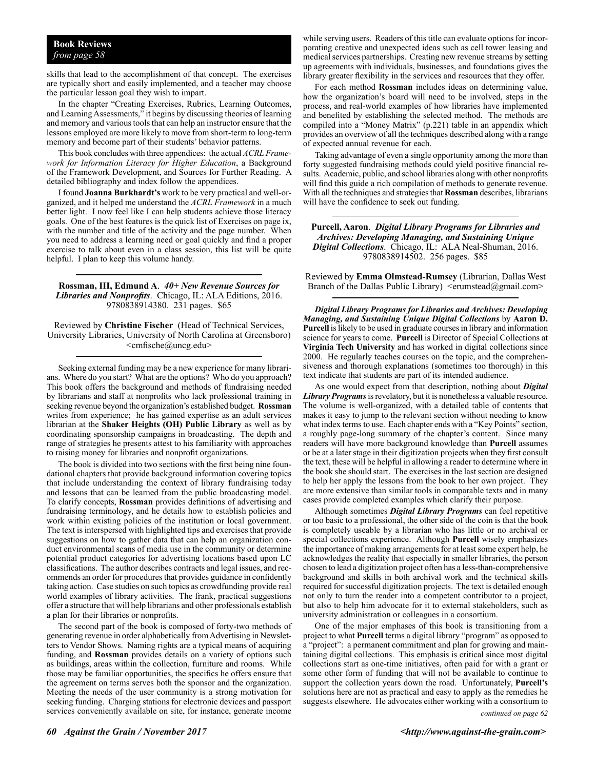### **Book Reviews** *from page 58*

skills that lead to the accomplishment of that concept. The exercises are typically short and easily implemented, and a teacher may choose the particular lesson goal they wish to impart.

In the chapter "Creating Exercises, Rubrics, Learning Outcomes, and Learning Assessments," it begins by discussing theories of learning and memory and various tools that can help an instructor ensure that the lessons employed are more likely to move from short-term to long-term memory and become part of their students' behavior patterns.

This book concludes with three appendices: the actual *ACRL Framework for Information Literacy for Higher Education*, a Background of the Framework Development, and Sources for Further Reading. A detailed bibliography and index follow the appendices.

I found **Joanna Burkhardt's** work to be very practical and well-organized, and it helped me understand the *ACRL Framework* in a much better light. I now feel like I can help students achieve those literacy goals. One of the best features is the quick list of Exercises on page ix, with the number and title of the activity and the page number. When you need to address a learning need or goal quickly and find a proper exercise to talk about even in a class session, this list will be quite helpful. I plan to keep this volume handy.

**Rossman, III, Edmund A**. *40+ New Revenue Sources for Libraries and Nonprofits*. Chicago, IL: ALA Editions, 2016. 9780838914380. 231 pages. \$65

Reviewed by **Christine Fischer** (Head of Technical Services, University Libraries, University of North Carolina at Greensboro) <cmfische@uncg.edu>

Seeking external funding may be a new experience for many librarians. Where do you start? What are the options? Who do you approach? This book offers the background and methods of fundraising needed by librarians and staff at nonprofits who lack professional training in seeking revenue beyond the organization's established budget. **Rossman** writes from experience; he has gained expertise as an adult services librarian at the **Shaker Heights (OH) Public Library** as well as by coordinating sponsorship campaigns in broadcasting. The depth and range of strategies he presents attest to his familiarity with approaches to raising money for libraries and nonprofit organizations.

The book is divided into two sections with the first being nine foundational chapters that provide background information covering topics that include understanding the context of library fundraising today and lessons that can be learned from the public broadcasting model. To clarify concepts, **Rossman** provides definitions of advertising and fundraising terminology, and he details how to establish policies and work within existing policies of the institution or local government. The text is interspersed with highlighted tips and exercises that provide suggestions on how to gather data that can help an organization conduct environmental scans of media use in the community or determine potential product categories for advertising locations based upon LC classifications. The author describes contracts and legal issues, and recommends an order for procedures that provides guidance in confidently taking action. Case studies on such topics as crowdfunding provide real world examples of library activities. The frank, practical suggestions offer a structure that will help librarians and other professionals establish a plan for their libraries or nonprofits.

The second part of the book is composed of forty-two methods of generating revenue in order alphabetically from Advertising in Newsletters to Vendor Shows. Naming rights are a typical means of acquiring funding, and **Rossman** provides details on a variety of options such as buildings, areas within the collection, furniture and rooms. While those may be familiar opportunities, the specifics he offers ensure that the agreement on terms serves both the sponsor and the organization. Meeting the needs of the user community is a strong motivation for seeking funding. Charging stations for electronic devices and passport services conveniently available on site, for instance, generate income

while serving users. Readers of this title can evaluate options for incorporating creative and unexpected ideas such as cell tower leasing and medical services partnerships. Creating new revenue streams by setting up agreements with individuals, businesses, and foundations gives the library greater flexibility in the services and resources that they offer.

For each method **Rossman** includes ideas on determining value, how the organization's board will need to be involved, steps in the process, and real-world examples of how libraries have implemented and benefited by establishing the selected method. The methods are compiled into a "Money Matrix" (p.221) table in an appendix which provides an overview of all the techniques described along with a range of expected annual revenue for each.

Taking advantage of even a single opportunity among the more than forty suggested fundraising methods could yield positive financial results. Academic, public, and school libraries along with other nonprofits will find this guide a rich compilation of methods to generate revenue. With all the techniques and strategies that **Rossman** describes, librarians will have the confidence to seek out funding.

**Purcell, Aaron**. *Digital Library Programs for Libraries and Archives: Developing Managing, and Sustaining Unique Digital Collections*. Chicago, IL: ALA Neal-Shuman, 2016. 9780838914502. 256 pages. \$85

Reviewed by **Emma Olmstead-Rumsey** (Librarian, Dallas West Branch of the Dallas Public Library) <erumstead@gmail.com>

*Digital Library Programs for Libraries and Archives: Developing Managing, and Sustaining Unique Digital Collections* by **Aaron D. Purcell** is likely to be used in graduate courses in library and information science for years to come. **Purcell** is Director of Special Collections at **Virginia Tech University** and has worked in digital collections since 2000. He regularly teaches courses on the topic, and the comprehensiveness and thorough explanations (sometimes too thorough) in this text indicate that students are part of its intended audience.

As one would expect from that description, nothing about *Digital Library Programs* is revelatory, but it is nonetheless a valuable resource. The volume is well-organized, with a detailed table of contents that makes it easy to jump to the relevant section without needing to know what index terms to use. Each chapter ends with a "Key Points" section, a roughly page-long summary of the chapter's content. Since many readers will have more background knowledge than **Purcell** assumes or be at a later stage in their digitization projects when they first consult the text, these will be helpful in allowing a reader to determine where in the book she should start. The exercises in the last section are designed to help her apply the lessons from the book to her own project. They are more extensive than similar tools in comparable texts and in many cases provide completed examples which clarify their purpose.

Although sometimes *Digital Library Programs* can feel repetitive or too basic to a professional, the other side of the coin is that the book is completely useable by a librarian who has little or no archival or special collections experience. Although **Purcell** wisely emphasizes the importance of making arrangements for at least some expert help, he acknowledges the reality that especially in smaller libraries, the person chosen to lead a digitization project often has a less-than-comprehensive background and skills in both archival work and the technical skills required for successful digitization projects. The text is detailed enough not only to turn the reader into a competent contributor to a project, but also to help him advocate for it to external stakeholders, such as university administration or colleagues in a consortium.

One of the major emphases of this book is transitioning from a project to what **Purcell** terms a digital library "program" as opposed to a "project": a permanent commitment and plan for growing and maintaining digital collections. This emphasis is critical since most digital collections start as one-time initiatives, often paid for with a grant or some other form of funding that will not be available to continue to support the collection years down the road. Unfortunately, **Purcell's**  solutions here are not as practical and easy to apply as the remedies he suggests elsewhere. He advocates either working with a consortium to

*continued on page 62*